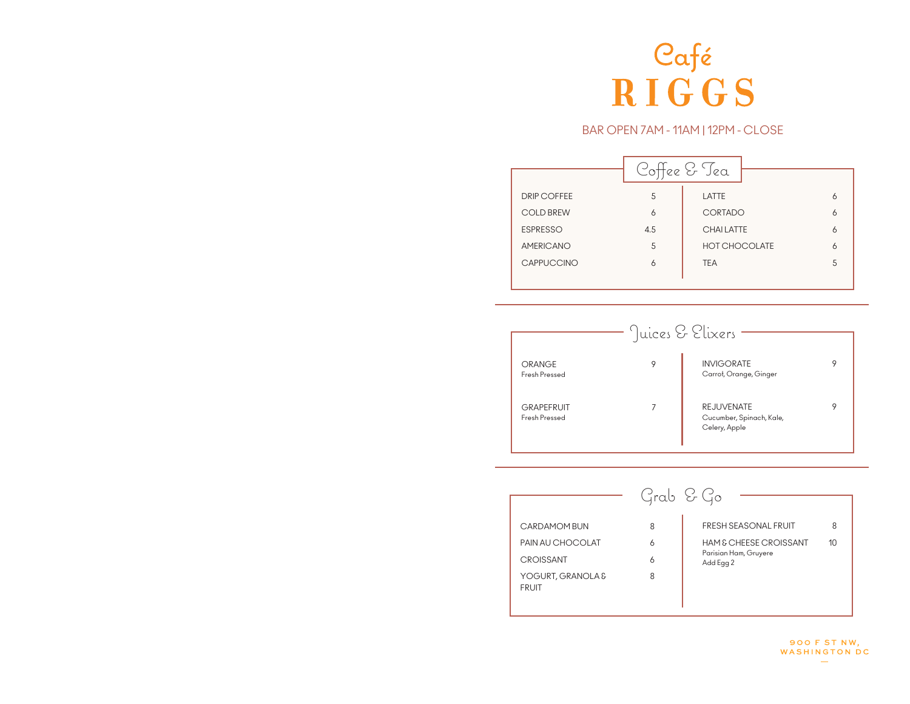

### BAR OPEN 7AM - 11AM | 12PM - CLOSE

|                    |     | Coffee & Tea         |   |
|--------------------|-----|----------------------|---|
| <b>DRIP COFFEE</b> | 5   | LATTE                | 6 |
| <b>COLD BREW</b>   | 6   | CORTADO              | 6 |
| <b>ESPRESSO</b>    | 4.5 | <b>CHAILATTE</b>     | 6 |
| <b>AMERICANO</b>   | 5   | <b>HOT CHOCOLATE</b> | 6 |
| <b>CAPPUCCINO</b>  | 6   | <b>TEA</b>           | 5 |
|                    |     |                      |   |



|                                   | Grab & Go |                                    |                 |
|-----------------------------------|-----------|------------------------------------|-----------------|
| CARDAMOM BUN                      | 8         | <b>FRESH SEASONAL FRUIT</b>        | 8               |
| PAIN AU CHOCOLAT                  | 6         | <b>HAM &amp; CHEESE CROISSANT</b>  | 10 <sup>1</sup> |
| <b>CROISSANT</b>                  | 6         | Parisian Ham, Gruyere<br>Add Egg 2 |                 |
| YOGURT, GRANOLA &<br><b>FRUIT</b> | 8         |                                    |                 |

**900 F ST NW,** WASHINGTON DC